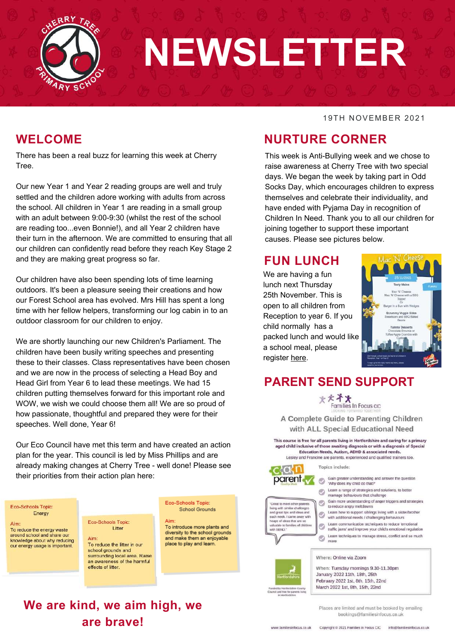

# **NEWSLETTER**

## **WELCOME**

There has been a real buzz for learning this week at Cherry Tree.

Our new Year 1 and Year 2 reading groups are well and truly settled and the children adore working with adults from across the school. All children in Year 1 are reading in a small group with an adult between 9:00-9:30 (whilst the rest of the school are reading too...even Bonnie!), and all Year 2 children have their turn in the afternoon. We are committed to ensuring that all our children can confidently read before they reach Key Stage 2 and they are making great progress so far.

Our children have also been spending lots of time learning outdoors. It's been a pleasure seeing their creations and how our Forest School area has evolved. Mrs Hill has spent a long time with her fellow helpers, transforming our log cabin in to an outdoor classroom for our children to enjoy.

We are shortly launching our new Children's Parliament. The children have been busily writing speeches and presenting these to their classes. Class representatives have been chosen and we are now in the process of selecting a Head Boy and Head Girl from Year 6 to lead these meetings. We had 15 children putting themselves forward for this important role and WOW, we wish we could choose them all! We are so proud of how passionate, thoughtful and prepared they were for their speeches. Well done, Year 6!

Our Eco Council have met this term and have created an action plan for the year. This council is led by Miss Phillips and are already making changes at Cherry Tree - well done! Please see their priorities from their action plan here:

#### Eco-Schools Topic: Energy

Aim: To reduce the energy waste around school and share our knowledge about why reducing our energy usage is important.

Eco-Schools Topic: Litter

**We are kind, we aim high, we**

**are brave!**

Aim: To reduce the litter in our school grounds and surrounding local area. Raise an awareness of the harmful effects of litter.

Eco-Schools Topic: **School Grounds** 

To introduce more plants and diversity to the school grounds and make them an enjoyable place to play and learn.

19TH NOVEMBER 2021

## **NURTURE CORNER**

This week is Anti-Bullying week and we chose to raise awareness at Cherry Tree with two special days. We began the week by taking part in Odd Socks Day, which encourages children to express themselves and celebrate their individuality, and have ended with Pyjama Day in recognition of Children In Need. Thank you to all our children for joining together to support these important causes. Please see pictures below.

## **FUN LUNCH**

We are having a fun lunch next Thursday 25th November. This is open to all children from Reception to year 6. If you child normally has a packed lunch and would like a school meal, please register [here.](https://forms.office.com/r/BNLSj5AAJn)



## **PARENT SEND SUPPORT**

大大斗火 Families In Focus cic

A Complete Guide to Parenting Children with ALL Special Educational Need

This course is free for all parents living in Hertfordshire and caring for a primary aged child inclusive of those awaiting diagnosis or with a diagnosis of Special Education Needs, Autism, ADHD & associated needs. Lesley and Francine are parents, experienced and qualified trainers too



Great to meet other parents

and great tips and ideas and<br>each week. I came away with

de to families of children

heaps of ideas that are so

living with similar chall

ith SEND

Topics include:

Gain greater understanding and answer the question 'Why does my child do that?

- Learn a range of strategies and solutions, to better mamage behaviours that challenge
- Gain more understanding of anger triggers and strategies to reduce angry meltdowns
- Learn how to support siblings living with a siste<br>with additional needs / challenging behaviours<br>Learn communication techniques to reduce let Learn how to support siblings living with a sister/brother
- Learn communication techniques to reduce 'emotional traffic jams' and improve your child's emotional regulation
- Learn techniques to manage stress, conflict and so much<br>more



When: Tuesday mornings 9.30-11.30pm January 2022 11th, 18th, 25th February 2022 1st, 8th, 15th, 22nd March 2022 1st, 8th, 15th, 22nd

Where: Online via Zoom

Places are limited and must be booked by emailing bookings@familiesinfocus.co.uk

www.familiesinfocus.co.uk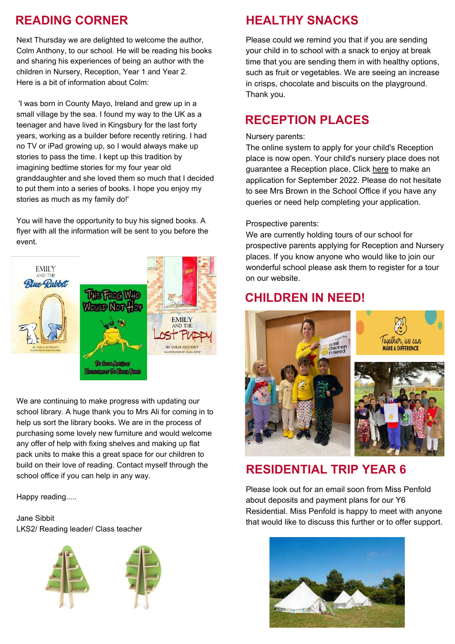## **READING CORNER**

Next Thursday we are delighted to welcome the author, Colm Anthony, to our school. He will be reading his books and sharing his experiences of being an author with the children in Nursery, Reception, Year 1 and Year 2. Here is a bit of information about Colm:

'I was born in County Mayo, Ireland and grew up in a small village by the sea. I found my way to the UK as a teenager and have lived in Kingsbury for the last forty years, working as a builder before recently retiring. I had no TV or iPad growing up, so I would always make up stories to pass the time. I kept up this tradition by imagining bedtime stories for my four year old granddaughter and she loved them so much that I decided to put them into a series of books. I hope you enjoy my stories as much as my family do!'

You will have the opportunity to buy his signed books. A flyer with all the information will be sent to you before the event.



We are continuing to make progress with updating our school library. A huge thank you to Mrs Ali for coming in to help us sort the library books. We are in the process of purchasing some lovely new furniture and would welcome any offer of help with fixing shelves and making up flat pack units to make this a great space for our children to build on their love of reading. Contact myself through the school office if you can help in any way.

Happy reading.....

Jane Sibbit LKS2/ Reading leader/ Class teacher





Please could we remind you that if you are sending your child in to school with a snack to enjoy at break time that you are sending them in with healthy options, such as fruit or vegetables. We are seeing an increase in crisps, chocolate and biscuits on the playground. Thank you.

## **RECEPTION PLACES**

### Nursery parents:

The online system to apply for your child's Reception place is now open. Your child's nursery place does not guarantee a Reception place. Click [here](https://www.hertfordshire.gov.uk/services/schools-and-education/school-admissions/school-admissions-and-transport.aspx?utm_source=homepage&utm_medium=top%20task%20tiles&utm_campaign=top%20task%20tracking&utm_term=school%20admissions) to make an application for September 2022. Please do not hesitate to see Mrs Brown in the School Office if you have any queries or need help completing your application.

#### Prospective parents:

We are currently holding tours of our school for prospective parents applying for Reception and Nursery places. If you know anyone who would like to join our wonderful school please ask them to register for a tour on our website.

## **CHILDREN IN NEED!**



## **RESIDENTIAL TRIP YEAR 6**

Please look out for an email soon from Miss Penfold about deposits and payment plans for our Y6 Residential. Miss Penfold is happy to meet with anyone that would like to discuss this further or to offer support.

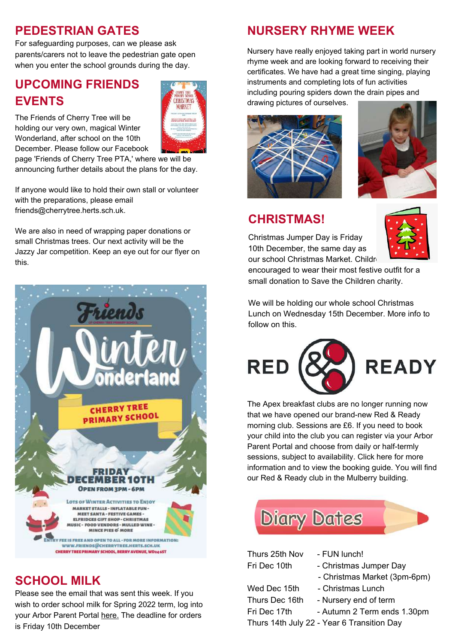## **PEDESTRIAN GATES**

For safeguarding purposes, can we please ask parents/carers not to leave the pedestrian gate open when you enter the school grounds during the day.

## **UPCOMING FRIENDS EVENTS**



The Friends of Cherry Tree will be holding our very own, magical Winter Wonderland, after school on the 10th December. Please follow our Facebook

page 'Friends of Cherry Tree PTA,' where we will be announcing further details about the plans for the day.

If anyone would like to hold their own stall or volunteer with the preparations, please email friends@cherrytree.herts.sch.uk.

We are also in need of wrapping paper donations or small Christmas trees. Our next activity will be the Jazzy Jar competition. Keep an eye out for our flyer on this.



## **SCHOOL MILK**

Please see the email that was sent this week. If you wish to order school milk for Spring 2022 term, log into your Arbor Parent Portal [here.](https://cherry-tree-primary.uk.arbor.sc/) The deadline for orders is Friday 10th December

## **NURSERY RHYME WEEK**

Nursery have really enjoyed taking part in world nursery rhyme week and are looking forward to receiving their certificates. We have had a great time singing, playing instruments and completing lots of fun activities including pouring spiders down the drain pipes and drawing pictures of ourselves.





## **CHRISTMAS!**

Christmas Jumper Day is Friday 10th December, the same day as our school Christmas Market. Childr



encouraged to wear their most festive outfit for a small donation to Save the Children charity.

We will be holding our whole school Christmas Lunch on Wednesday 15th December. More info to follow on this.



The Apex breakfast clubs are no longer running now that we have opened our brand-new Red & Ready morning club. Sessions are £6. If you need to book your child into the club you can register via your Arbor Parent Portal and choose from daily or half-termly sessions, subject to availability. Click [here](https://www.cherrytree.herts.sch.uk/clubs) for more information and to view the booking guide. You will find our Red & Ready club in the Mulberry building.



Thurs 25th Nov - FUN lunch!

- 
- Fri Dec 10th Christmas Jumper Day
	- Christmas Market (3pm-6pm)

Wed Dec 15th - Christmas Lunch

- Thurs Dec 16th Nursery end of term
- Fri Dec 17th Autumn 2 Term ends 1.30pm

Thurs 14th July 22 - Year 6 Transition Day